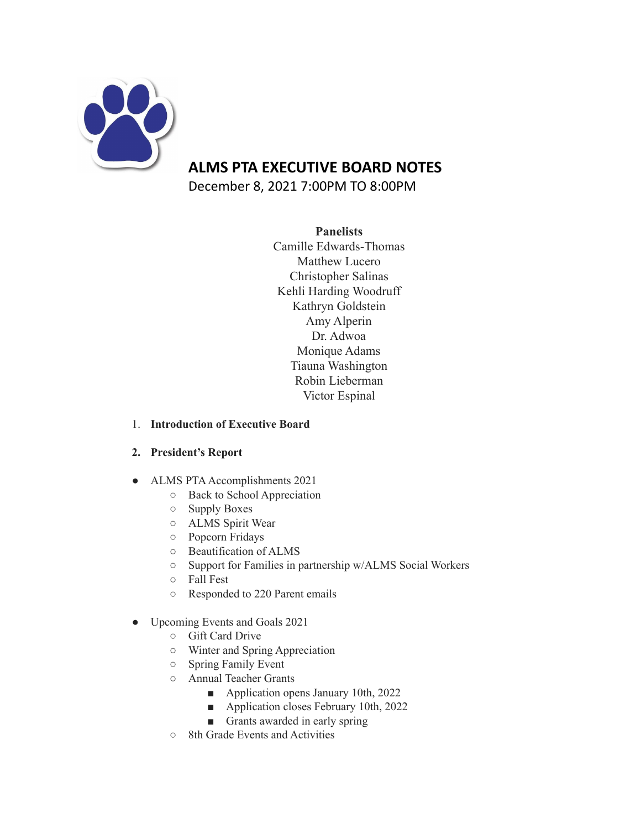

# **ALMS PTA EXECUTIVE BOARD NOTES**

December 8, 2021 7:00PM TO 8:00PM

## **Panelists**

Camille Edwards-Thomas Matthew Lucero Christopher Salinas Kehli Harding Woodruff Kathryn Goldstein Amy Alperin Dr. Adwoa Monique Adams Tiauna Washington Robin Lieberman Victor Espinal

### 1. **Introduction of Executive Board**

# **2. President's Report**

- ALMS PTA Accomplishments 2021
	- Back to School Appreciation
	- Supply Boxes
	- ALMS Spirit Wear
	- Popcorn Fridays
	- Beautification of ALMS
	- Support for Families in partnership w/ALMS Social Workers
	- Fall Fest
	- Responded to 220 Parent emails
- Upcoming Events and Goals 2021
	- Gift Card Drive
	- Winter and Spring Appreciation
	- Spring Family Event
	- Annual Teacher Grants
		- Application opens January 10th, 2022
		- Application closes February 10th, 2022
		- Grants awarded in early spring
	- 8th Grade Events and Activities